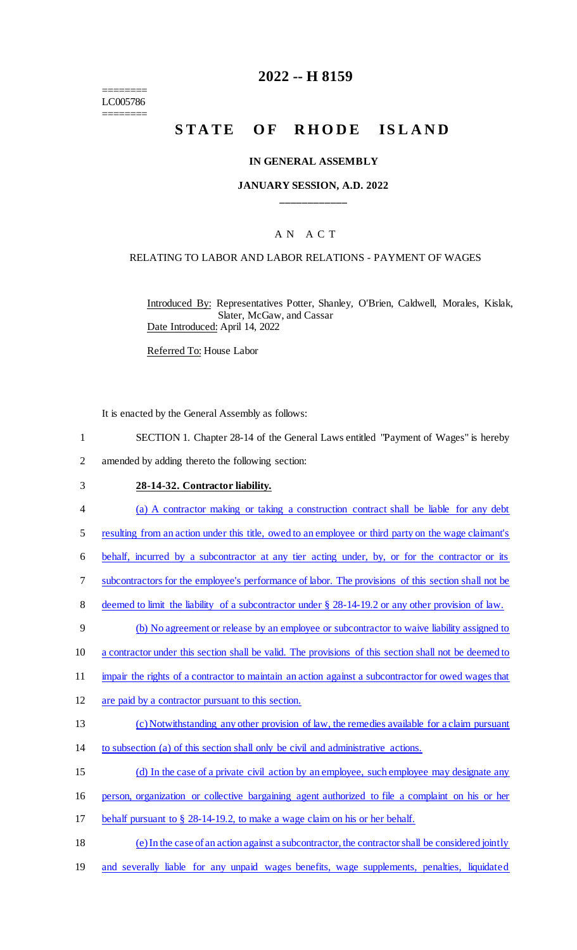======== LC005786 ========

## **2022 -- H 8159**

# **STATE OF RHODE ISLAND**

### **IN GENERAL ASSEMBLY**

## **JANUARY SESSION, A.D. 2022 \_\_\_\_\_\_\_\_\_\_\_\_**

## A N A C T

### RELATING TO LABOR AND LABOR RELATIONS - PAYMENT OF WAGES

Introduced By: Representatives Potter, Shanley, O'Brien, Caldwell, Morales, Kislak, Slater, McGaw, and Cassar Date Introduced: April 14, 2022

Referred To: House Labor

It is enacted by the General Assembly as follows:

- 1 SECTION 1. Chapter 28-14 of the General Laws entitled "Payment of Wages" is hereby
- 2 amended by adding thereto the following section:

#### 3 **28-14-32. Contractor liability.**

- 4 (a) A contractor making or taking a construction contract shall be liable for any debt
- 5 resulting from an action under this title, owed to an employee or third party on the wage claimant's
- 6 behalf, incurred by a subcontractor at any tier acting under, by, or for the contractor or its
- 7 subcontractors for the employee's performance of labor. The provisions of this section shall not be
- 8 deemed to limit the liability of a subcontractor under  $\S$  28-14-19.2 or any other provision of law.
- 9 (b) No agreement or release by an employee or subcontractor to waive liability assigned to
- 10 a contractor under this section shall be valid. The provisions of this section shall not be deemed to
- 11 impair the rights of a contractor to maintain an action against a subcontractor for owed wages that
- 12 are paid by a contractor pursuant to this section.

#### 13 (c) Notwithstanding any other provision of law, the remedies available for a claim pursuant

- 14 to subsection (a) of this section shall only be civil and administrative actions.
- 15 (d) In the case of a private civil action by an employee, such employee may designate any
- 16 person, organization or collective bargaining agent authorized to file a complaint on his or her
- 17 behalf pursuant to § 28-14-19.2, to make a wage claim on his or her behalf.
- 18 (e) In the case of an action against a subcontractor, the contractor shall be considered jointly
- 19 and severally liable for any unpaid wages benefits, wage supplements, penalties, liquidated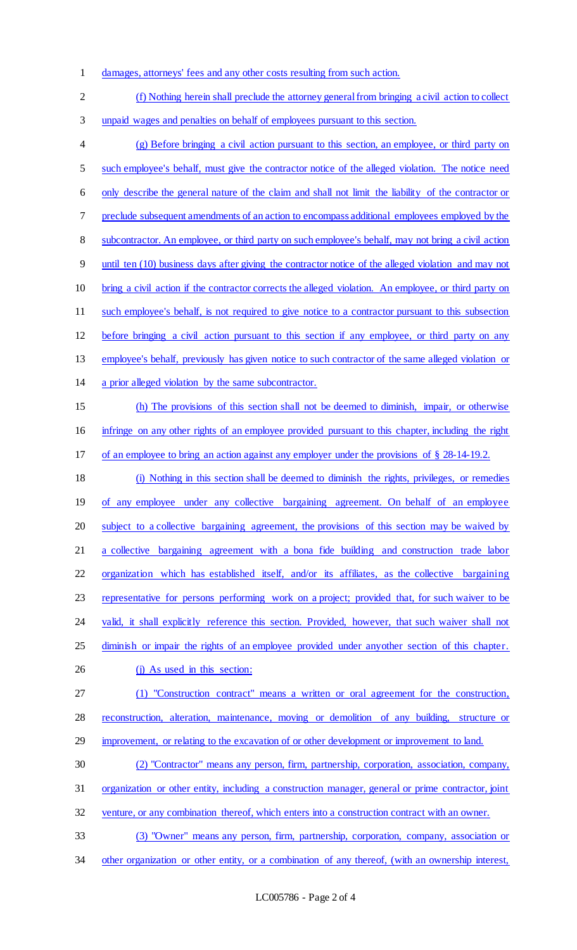- damages, attorneys' fees and any other costs resulting from such action.
- (f) Nothing herein shall preclude the attorney general from bringing a civil action to collect unpaid wages and penalties on behalf of employees pursuant to this section. (g) Before bringing a civil action pursuant to this section, an employee, or third party on such employee's behalf, must give the contractor notice of the alleged violation. The notice need only describe the general nature of the claim and shall not limit the liability of the contractor or preclude subsequent amendments of an action to encompass additional employees employed by the 8 subcontractor. An employee, or third party on such employee's behalf, may not bring a civil action until ten (10) business days after giving the contractor notice of the alleged violation and may not bring a civil action if the contractor corrects the alleged violation. An employee, or third party on such employee's behalf, is not required to give notice to a contractor pursuant to this subsection before bringing a civil action pursuant to this section if any employee, or third party on any employee's behalf, previously has given notice to such contractor of the same alleged violation or a prior alleged violation by the same subcontractor. (h) The provisions of this section shall not be deemed to diminish, impair, or otherwise infringe on any other rights of an employee provided pursuant to this chapter, including the right of an employee to bring an action against any employer under the provisions of § 28-14-19.2. (i) Nothing in this section shall be deemed to diminish the rights, privileges, or remedies 19 of any employee under any collective bargaining agreement. On behalf of an employee subject to a collective bargaining agreement, the provisions of this section may be waived by a collective bargaining agreement with a bona fide building and construction trade labor organization which has established itself, and/or its affiliates, as the collective bargaining representative for persons performing work on a project; provided that, for such waiver to be 24 valid, it shall explicitly reference this section. Provided, however, that such waiver shall not 25 diminish or impair the rights of an employee provided under anyother section of this chapter. 26 (j) As used in this section: (1) "Construction contract" means a written or oral agreement for the construction, reconstruction, alteration, maintenance, moving or demolition of any building, structure or 29 improvement, or relating to the excavation of or other development or improvement to land. (2) "Contractor" means any person, firm, partnership, corporation, association, company, organization or other entity, including a construction manager, general or prime contractor, joint venture, or any combination thereof, which enters into a construction contract with an owner. (3) "Owner" means any person, firm, partnership, corporation, company, association or 34 other organization or other entity, or a combination of any thereof, (with an ownership interest,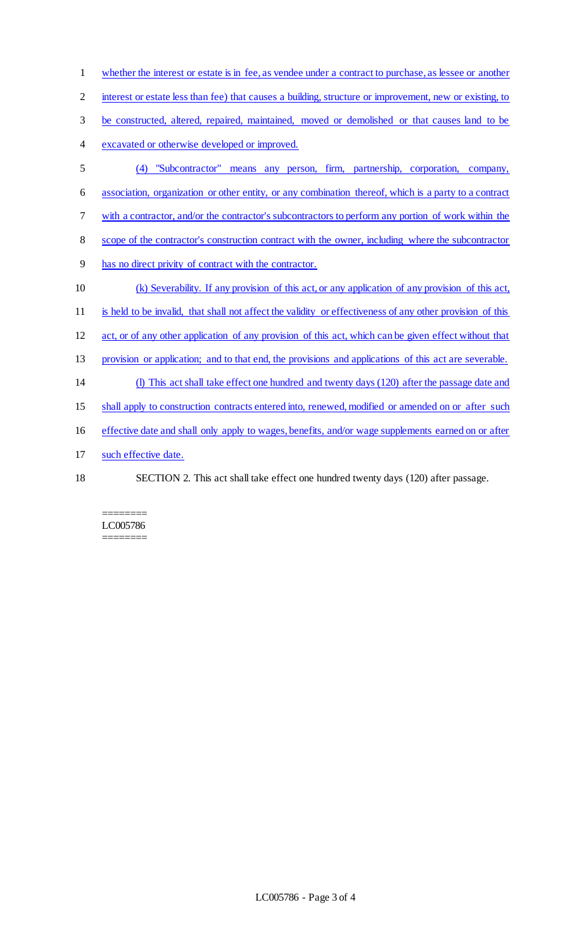whether the interest or estate is in fee, as vendee under a contract to purchase, as lessee or another 2 interest or estate less than fee) that causes a building, structure or improvement, new or existing, to be constructed, altered, repaired, maintained, moved or demolished or that causes land to be excavated or otherwise developed or improved. (4) "Subcontractor" means any person, firm, partnership, corporation, company, association, organization or other entity, or any combination thereof, which is a party to a contract with a contractor, and/or the contractor's subcontractors to perform any portion of work within the scope of the contractor's construction contract with the owner, including where the subcontractor has no direct privity of contract with the contractor. (k) Severability. If any provision of this act, or any application of any provision of this act, is held to be invalid, that shall not affect the validity or effectiveness of any other provision of this act, or of any other application of any provision of this act, which can be given effect without that provision or application; and to that end, the provisions and applications of this act are severable. (l) This act shall take effect one hundred and twenty days (120) after the passage date and 15 shall apply to construction contracts entered into, renewed, modified or amended on or after such effective date and shall only apply to wages, benefits, and/or wage supplements earned on or after 17 such effective date. SECTION 2. This act shall take effect one hundred twenty days (120) after passage.

#### ======== LC005786 ========